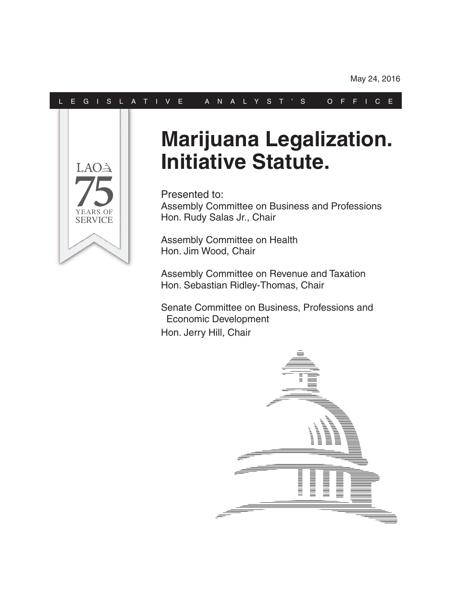#### L E G I S L A T I V E A N A L Y S T ' S O F F I C E



# **Marijuana Legalization. Initiative Statute.**

Presented to: Assembly Committee on Business and Professions Hon. Rudy Salas Jr., Chair

Assembly Committee on Health Hon. Jim Wood, Chair

Assembly Committee on Revenue and Taxation Hon. Sebastian Ridley-Thomas, Chair

Senate Committee on Business, Professions and Economic Development Hon. Jerry Hill, Chair

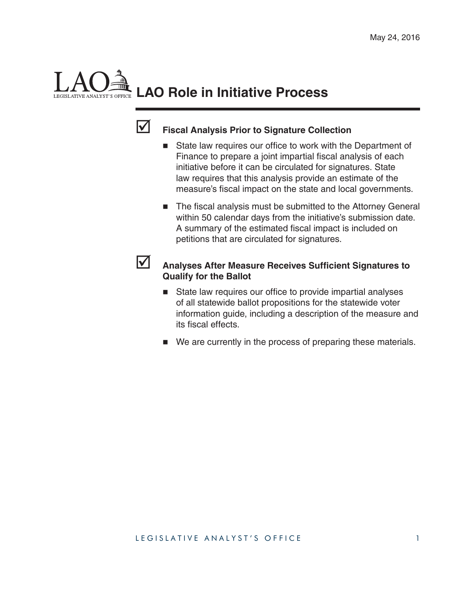# **LAO Role in Initiative Process**



#### **Fiscal Analysis Prior to Signature Collection**

- $\blacksquare$  State law requires our office to work with the Department of Finance to prepare a joint impartial fiscal analysis of each initiative before it can be circulated for signatures. State law requires that this analysis provide an estimate of the measure's fiscal impact on the state and local governments.
- The fiscal analysis must be submitted to the Attorney General within 50 calendar days from the initiative's submission date. A summary of the estimated fiscal impact is included on petitions that are circulated for signatures.



#### **Analyses After Measure Receives Sufficient Signatures to Qualify for the Ballot**

- $\blacksquare$  State law requires our office to provide impartial analyses of all statewide ballot propositions for the statewide voter information guide, including a description of the measure and its fiscal effects.
- We are currently in the process of preparing these materials.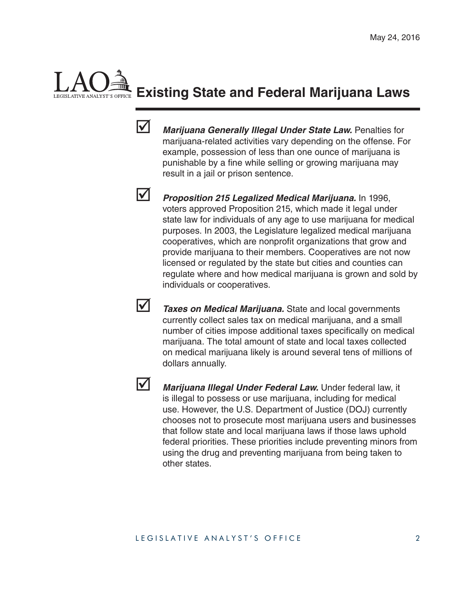# **Existing State and Federal Marijuana Laws**



 *Marijuana Generally Illegal Under State Law.* Penalties for marijuana-related activities vary depending on the offense. For example, possession of less than one ounce of marijuana is punishable by a fine while selling or growing marijuana may result in a jail or prison sentence.



 *Proposition 215 Legalized Medical Marijuana.* In 1996, voters approved Proposition 215, which made it legal under state law for individuals of any age to use marijuana for medical purposes. In 2003, the Legislature legalized medical marijuana cooperatives, which are nonprofit organizations that grow and provide marijuana to their members. Cooperatives are not now licensed or regulated by the state but cities and counties can regulate where and how medical marijuana is grown and sold by individuals or cooperatives.



**1** *Taxes on Medical Marijuana.* State and local governments currently collect sales tax on medical marijuana, and a small number of cities impose additional taxes specifically on medical marijuana. The total amount of state and local taxes collected on medical marijuana likely is around several tens of millions of dollars annually.



**Marijuana Illegal Under Federal Law.** Under federal law, it is illegal to possess or use marijuana, including for medical use. However, the U.S. Department of Justice (DOJ) currently chooses not to prosecute most marijuana users and businesses that follow state and local marijuana laws if those laws uphold federal priorities. These priorities include preventing minors from using the drug and preventing marijuana from being taken to other states.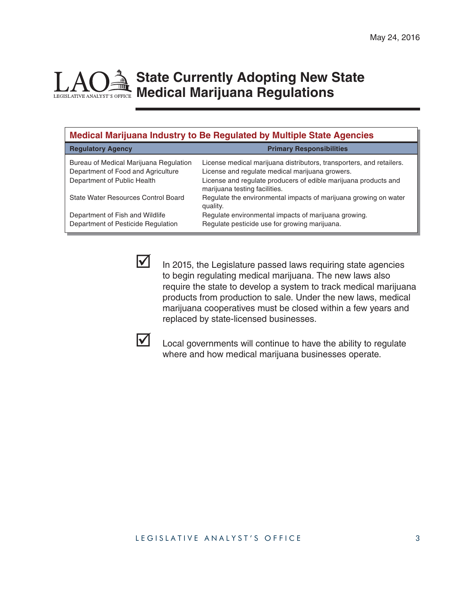### **State Currently Adopting New State Medical Marijuana Regulations**

| <b>Medical Marijuana Industry to Be Regulated by Multiple State Agencies</b>                                |                                                                                                                                                                                                                             |  |  |
|-------------------------------------------------------------------------------------------------------------|-----------------------------------------------------------------------------------------------------------------------------------------------------------------------------------------------------------------------------|--|--|
| <b>Regulatory Agency</b>                                                                                    | <b>Primary Responsibilities</b>                                                                                                                                                                                             |  |  |
| Bureau of Medical Marijuana Regulation<br>Department of Food and Agriculture<br>Department of Public Health | License medical marijuana distributors, transporters, and retailers.<br>License and regulate medical marijuana growers.<br>License and regulate producers of edible marijuana products and<br>marijuana testing facilities. |  |  |
| State Water Resources Control Board                                                                         | Regulate the environmental impacts of marijuana growing on water<br>quality.                                                                                                                                                |  |  |
| Department of Fish and Wildlife<br>Department of Pesticide Regulation                                       | Regulate environmental impacts of marijuana growing.<br>Regulate pesticide use for growing marijuana.                                                                                                                       |  |  |

 $\triangleright$  In 2015, the Legislature passed laws requiring state agencies to begin regulating medical marijuana. The new laws also require the state to develop a system to track medical marijuana products from production to sale. Under the new laws, medical marijuana cooperatives must be closed within a few years and replaced by state-licensed businesses.



 $\triangleright$  Local governments will continue to have the ability to regulate where and how medical marijuana businesses operate.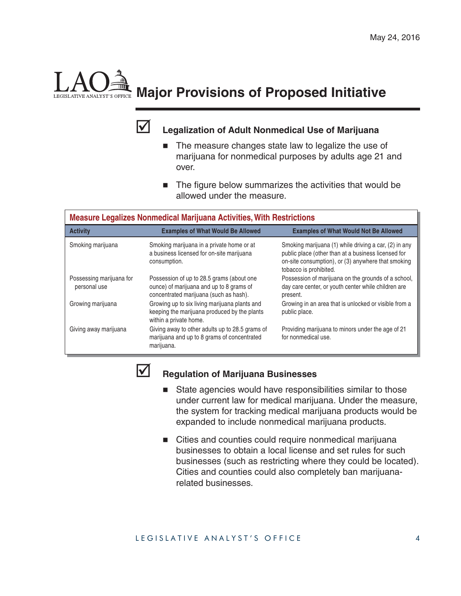

## **Major Provisions of Proposed Initiative**

#### **Legalization of Adult Nonmedical Use of Marijuana**

- The measure changes state law to legalize the use of marijuana for nonmedical purposes by adults age 21 and over.
- The figure below summarizes the activities that would be allowed under the measure.

| <b>Measure Legalizes Nonmedical Marijuana Activities, With Restrictions</b> |                                                                                                                                 |                                                                                                                                                                                              |  |  |
|-----------------------------------------------------------------------------|---------------------------------------------------------------------------------------------------------------------------------|----------------------------------------------------------------------------------------------------------------------------------------------------------------------------------------------|--|--|
| <b>Activity</b>                                                             | <b>Examples of What Would Be Allowed</b>                                                                                        | <b>Examples of What Would Not Be Allowed</b>                                                                                                                                                 |  |  |
| Smoking marijuana                                                           | Smoking marijuana in a private home or at<br>a business licensed for on-site marijuana<br>consumption.                          | Smoking marijuana (1) while driving a car, (2) in any<br>public place (other than at a business licensed for<br>on-site consumption), or (3) anywhere that smoking<br>tobacco is prohibited. |  |  |
| Possessing marijuana for<br>personal use                                    | Possession of up to 28.5 grams (about one<br>ounce) of marijuana and up to 8 grams of<br>concentrated marijuana (such as hash). | Possession of marijuana on the grounds of a school,<br>day care center, or youth center while children are<br>present.                                                                       |  |  |
| Growing marijuana                                                           | Growing up to six living marijuana plants and<br>keeping the marijuana produced by the plants<br>within a private home.         | Growing in an area that is unlocked or visible from a<br>public place.                                                                                                                       |  |  |
| Giving away marijuana                                                       | Giving away to other adults up to 28.5 grams of<br>marijuana and up to 8 grams of concentrated<br>marijuana.                    | Providing marijuana to minors under the age of 21<br>for nonmedical use.                                                                                                                     |  |  |



#### **Regulation of Marijuana Businesses**

- State agencies would have responsibilities similar to those under current law for medical marijuana. Under the measure, the system for tracking medical marijuana products would be expanded to include nonmedical marijuana products.
- Cities and counties could require nonmedical marijuana businesses to obtain a local license and set rules for such businesses (such as restricting where they could be located). Cities and counties could also completely ban marijuanarelated businesses.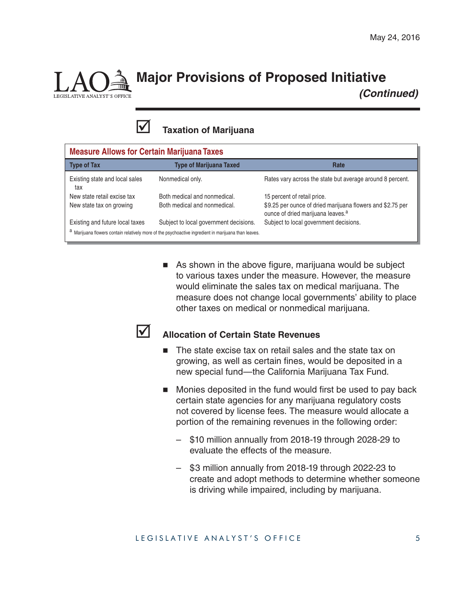

## **Major Provisions of Proposed Initiative**

 *(Continued)*



| <b>Measure Allows for Certain Marijuana Taxes</b>                                                    |                                        |                                                                                                             |  |
|------------------------------------------------------------------------------------------------------|----------------------------------------|-------------------------------------------------------------------------------------------------------------|--|
| <b>Type of Tax</b>                                                                                   | <b>Type of Marijuana Taxed</b>         | Rate                                                                                                        |  |
| Existing state and local sales<br>tax                                                                | Nonmedical only.                       | Rates vary across the state but average around 8 percent.                                                   |  |
| New state retail excise tax                                                                          | Both medical and nonmedical.           | 15 percent of retail price.                                                                                 |  |
| New state tax on growing                                                                             | Both medical and nonmedical.           | \$9.25 per ounce of dried marijuana flowers and \$2.75 per<br>ounce of dried marijuana leaves. <sup>a</sup> |  |
| Existing and future local taxes                                                                      | Subject to local government decisions. | Subject to local government decisions.                                                                      |  |
| a Marijuana flowers contain relatively more of the psychoactive ingredient in marijuana than leaves. |                                        |                                                                                                             |  |

 $\blacksquare$  As shown in the above figure, marijuana would be subject to various taxes under the measure. However, the measure would eliminate the sales tax on medical marijuana. The measure does not change local governments' ability to place other taxes on medical or nonmedical marijuana.

#### **Allocation of Certain State Revenues**

- The state excise tax on retail sales and the state tax on growing, as well as certain fines, would be deposited in a new special fund—the California Marijuana Tax Fund.
- $\blacksquare$  Monies deposited in the fund would first be used to pay back certain state agencies for any marijuana regulatory costs not covered by license fees. The measure would allocate a portion of the remaining revenues in the following order:
	- \$10 million annually from 2018-19 through 2028-29 to evaluate the effects of the measure.
	- \$3 million annually from 2018-19 through 2022-23 to create and adopt methods to determine whether someone is driving while impaired, including by marijuana.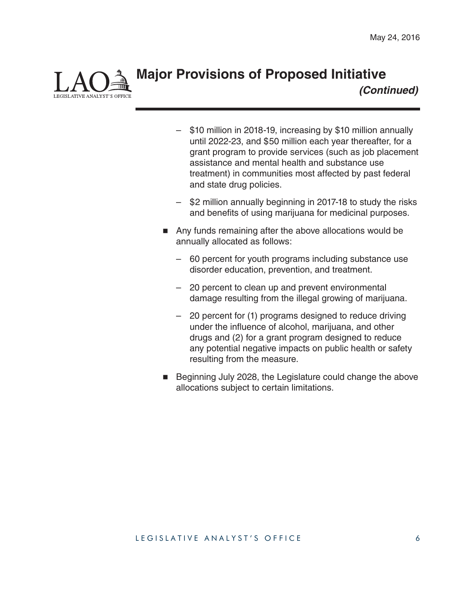**Major Provisions of Proposed Initiative**  *(Continued)*

- \$10 million in 2018-19, increasing by \$10 million annually until 2022-23, and \$50 million each year thereafter, for a grant program to provide services (such as job placement assistance and mental health and substance use treatment) in communities most affected by past federal and state drug policies.
- \$2 million annually beginning in 2017-18 to study the risks and benefits of using marijuana for medicinal purposes.
- Any funds remaining after the above allocations would be annually allocated as follows:
	- 60 percent for youth programs including substance use disorder education, prevention, and treatment.
	- 20 percent to clean up and prevent environmental damage resulting from the illegal growing of marijuana.
	- 20 percent for (1) programs designed to reduce driving under the influence of alcohol, marijuana, and other drugs and (2) for a grant program designed to reduce any potential negative impacts on public health or safety resulting from the measure.
- Beginning July 2028, the Legislature could change the above allocations subject to certain limitations.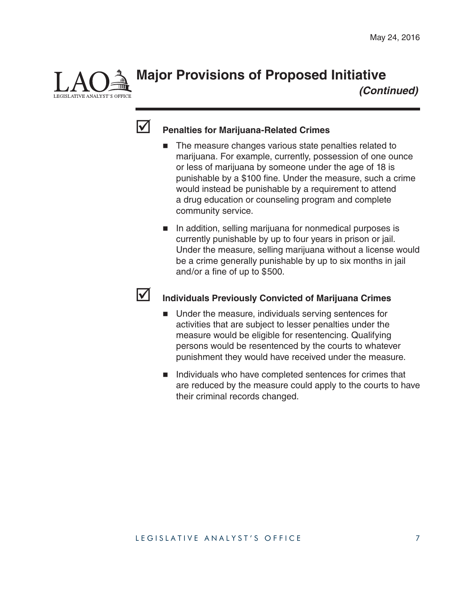**Major Provisions of Proposed Initiative**

 *(Continued)*



**E ANALYST'S OFFICE** 

#### **Penalties for Marijuana-Related Crimes**

- The measure changes various state penalties related to marijuana. For example, currently, possession of one ounce or less of marijuana by someone under the age of 18 is punishable by a \$100 fine. Under the measure, such a crime would instead be punishable by a requirement to attend a drug education or counseling program and complete community service.
- In addition, selling marijuana for nonmedical purposes is currently punishable by up to four years in prison or jail. Under the measure, selling marijuana without a license would be a crime generally punishable by up to six months in jail and/or a fine of up to  $$500$ .



#### **Individuals Previously Convicted of Marijuana Crimes**

- Under the measure, individuals serving sentences for activities that are subject to lesser penalties under the measure would be eligible for resentencing. Qualifying persons would be resentenced by the courts to whatever punishment they would have received under the measure.
- Individuals who have completed sentences for crimes that are reduced by the measure could apply to the courts to have their criminal records changed.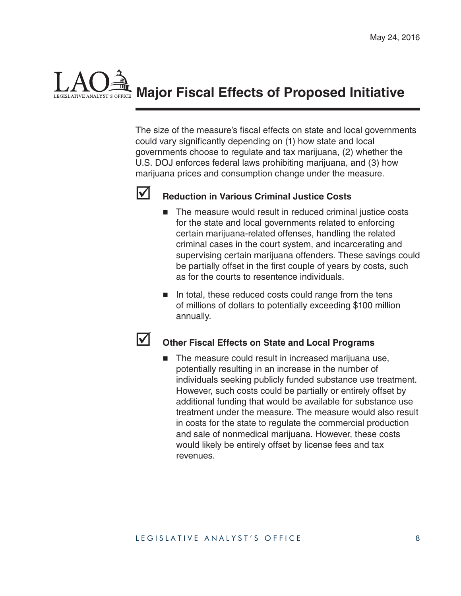

The size of the measure's fiscal effects on state and local governments could vary significantly depending on (1) how state and local governments choose to regulate and tax marijuana, (2) whether the U.S. DOJ enforces federal laws prohibiting marijuana, and (3) how marijuana prices and consumption change under the measure.



#### **Reduction in Various Criminal Justice Costs**

- The measure would result in reduced criminal justice costs for the state and local governments related to enforcing certain marijuana-related offenses, handling the related criminal cases in the court system, and incarcerating and supervising certain marijuana offenders. These savings could be partially offset in the first couple of years by costs, such as for the courts to resentence individuals.
- $\blacksquare$  In total, these reduced costs could range from the tens of millions of dollars to potentially exceeding \$100 million annually.

#### **Other Fiscal Effects on State and Local Programs**

 The measure could result in increased marijuana use, potentially resulting in an increase in the number of individuals seeking publicly funded substance use treatment. However, such costs could be partially or entirely offset by additional funding that would be available for substance use treatment under the measure. The measure would also result in costs for the state to regulate the commercial production and sale of nonmedical marijuana. However, these costs would likely be entirely offset by license fees and tax revenues.